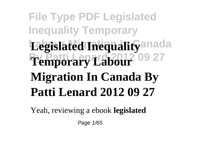## **File Type PDF Legislated Inequality Temporary Legislated Inequality** anada **By Patti Lenard 2012 09 27 Temporary Labour Migration In Canada By Patti Lenard 2012 09 27**

Yeah, reviewing a ebook **legislated**

Page 1/65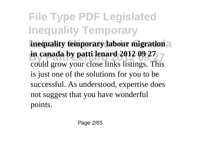**File Type PDF Legislated Inequality Temporary inequality temporary labour migration in canada by patti lenard 2012 09 27** could grow your close links listings. This is just one of the solutions for you to be successful. As understood, expertise does not suggest that you have wonderful points.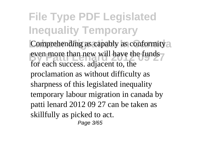**File Type PDF Legislated Inequality Temporary** Comprehending as capably as conformity<sup>2</sup> even more than new will have the funds for each success. adjacent to, the proclamation as without difficulty as sharpness of this legislated inequality temporary labour migration in canada by patti lenard 2012 09 27 can be taken as skillfully as picked to act. Page 3/65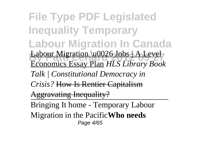**File Type PDF Legislated Inequality Temporary Labour Migration In Canada Burner** Labour Migration \u0026 Jobs | A Level Economics Essay Plan *HLS Library Book Talk | Constitutional Democracy in Crisis?* How Is Rentier Capitalism Aggravating Inequality? Bringing It home - Temporary Labour Migration in the Pacific**Who needs** Page 4/65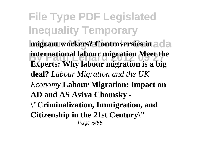**File Type PDF Legislated Inequality Temporary migrant workers? Controversies in** ada **international labour migration Meet the Experts: Why labour migration is a big deal?** *Labour Migration and the UK Economy* **Labour Migration: Impact on AD and AS Aviva Chomsky - \"Criminalization, Immigration, and Citizenship in the 21st Century\"** Page 5/65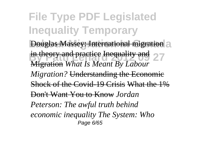**File Type PDF Legislated Inequality Temporary Douglas Massey: International migration** a in theory and practice Inequality and 27 Migration *What Is Meant By Labour Migration?* Understanding the Economic Shock of the Covid-19 Crisis What the 1% Don't Want You to Know *Jordan Peterson: The awful truth behind economic inequality The System: Who* Page 6/65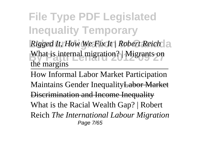**File Type PDF Legislated Inequality Temporary** *Rigged It, How We Fix It | Robert Reich* What is internal migration? | Migrants on the margins

How Informal Labor Market Participation Maintains Gender InequalityLabor Market Discrimination and Income Inequality What is the Racial Wealth Gap? | Robert Reich *The International Labour Migration* Page 7/65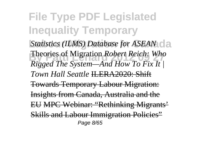**File Type PDF Legislated Inequality Temporary** *Statistics (ILMS) Database for ASEAN*  $d$ a **By Patter Reich:** Who **Patter Reich:** Who **Patter Reich:** Who *Rigged The System—And How To Fix It | Town Hall Seattle* ILERA2020: Shift Towards Temporary Labour Migration: Insights from Canada, Australia and the EU MPC Webinar: "Rethinking Migrants' Skills and Labour Immigration Policies" Page 8/65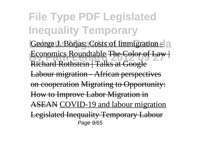**File Type PDF Legislated Inequality Temporary** George J. Borjas: Costs of Immigration - a **Beconomics Roundtable The Color of Law** Richard Rothstein | Talks at Google Labour migration - African perspectives on cooperation Migrating to Opportunity: How to Improve Labor Migration in ASEAN COVID-19 and labour migration Legislated Inequality Temporary Labour Page 9/65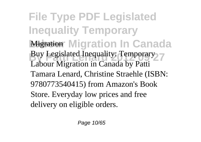**File Type PDF Legislated Inequality Temporary Migration In Canada Buy Legislated Inequality: Temporary** Labour Migration in Canada by Patti Tamara Lenard, Christine Straehle (ISBN: 9780773540415) from Amazon's Book Store. Everyday low prices and free delivery on eligible orders.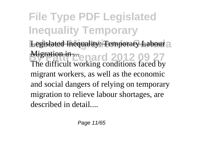**File Type PDF Legislated Inequality Temporary** Legislated Inequality: Temporary Labour<sub>2</sub> **Migration in ...**<br>**By Patti Lenard 2012 09 27** The difficult working conditions faced by migrant workers, as well as the economic and social dangers of relying on temporary migration to relieve labour shortages, are described in detail....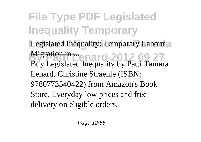**File Type PDF Legislated Inequality Temporary** Legislated Inequality: Temporary Labour<sub>2</sub> **By Patti Lenard 2012 09 27** Migration in ... Buy Legislated Inequality by Patti Tamara Lenard, Christine Straehle (ISBN: 9780773540422) from Amazon's Book Store. Everyday low prices and free delivery on eligible orders.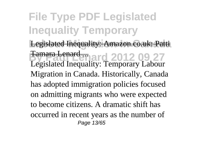**File Type PDF Legislated Inequality Temporary** Legislated Inequality: Amazon.co.uk: Patti **Bamara Lenard 7012 09 27** Legislated Inequality: Temporary Labour Migration in Canada. Historically, Canada has adopted immigration policies focused on admitting migrants who were expected to become citizens. A dramatic shift has occurred in recent years as the number of Page 13/65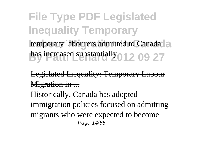**File Type PDF Legislated Inequality Temporary** temporary labourers admitted to Canada<sup>1</sup> has increased substantially. 012 09 27

Legislated Inequality: Temporary Labour Migration in ... Historically, Canada has adopted immigration policies focused on admitting migrants who were expected to become Page 14/65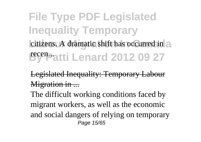**File Type PDF Legislated Inequality Temporary** citizens. A dramatic shift has occurred in a **By Patti Lenard 2012 09 27** 

Legislated Inequality: Temporary Labour Migration in ...

The difficult working conditions faced by migrant workers, as well as the economic and social dangers of relying on temporary Page 15/65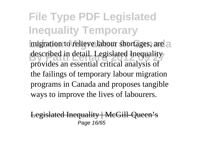**File Type PDF Legislated Inequality Temporary** migration to relieve labour shortages, are a described in detail. Legislated Inequality provides an essential critical analysis of the failings of temporary labour migration programs in Canada and proposes tangible ways to improve the lives of labourers.

Legislated Inequality | McGill-Oueen's Page 16/65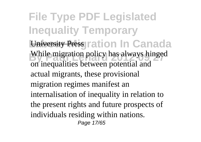**File Type PDF Legislated Inequality Temporary University Press** ration In Canada While migration policy has always hinged on inequalities between potential and actual migrants, these provisional migration regimes manifest an internalisation of inequality in relation to the present rights and future prospects of individuals residing within nations. Page 17/65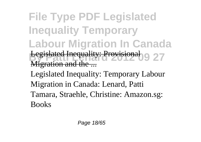**File Type PDF Legislated Inequality Temporary Labour Migration In Canada By Patti Lengti Lengti Lengti Levels 2012** 27 ligration and the Legislated Inequality: Temporary Labour Migration in Canada: Lenard, Patti Tamara, Straehle, Christine: Amazon.sg: Books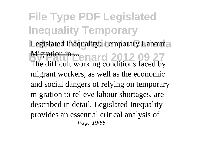**File Type PDF Legislated Inequality Temporary** Legislated Inequality: Temporary Labour<sub>2</sub> **Migration in ...**<br>**By Patti Lenard 2012 09 27** The difficult working conditions faced by migrant workers, as well as the economic and social dangers of relying on temporary migration to relieve labour shortages, are described in detail. Legislated Inequality provides an essential critical analysis of Page 19/65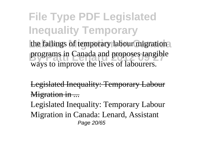**File Type PDF Legislated Inequality Temporary** the failings of temporary labour migration programs in Canada and proposes tangible ways to improve the lives of labourers.

Legislated Inequality: Temporary Labour Migration in ...

Legislated Inequality: Temporary Labour Migration in Canada: Lenard, Assistant Page 20/65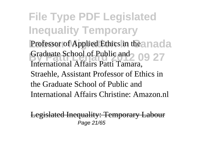**File Type PDF Legislated Inequality Temporary** Professor of Applied Ethics in the anada Graduate School of Public and 209 27 International Affairs Patti Tamara, Straehle, Assistant Professor of Ethics in the Graduate School of Public and International Affairs Christine: Amazon nl

Legislated Inequality: Temporary Labour Page 21/65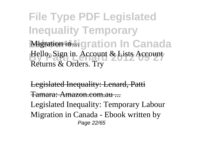**File Type PDF Legislated Inequality Temporary Migration in Higration In Canada Bello, Sign in. Account & Lists Account** Returns & Orders. Try

Legislated Inequality: Lenard, Patti Tamara: Amazon.com.au ...

Legislated Inequality: Temporary Labour Migration in Canada - Ebook written by Page 22/65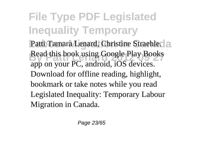**File Type PDF Legislated Inequality Temporary** Patti Tamara Lenard, Christine Straehle.<sup>2</sup> Read this book using Google Play Books app on your PC, android, iOS devices. Download for offline reading, highlight, bookmark or take notes while you read Legislated Inequality: Temporary Labour Migration in Canada.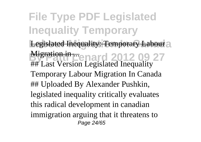**File Type PDF Legislated Inequality Temporary** Legislated Inequality: Temporary Labour<sub>2</sub> **Migration in ... enard 2012 09 27** ## Last Version Legislated Inequality Temporary Labour Migration In Canada ## Uploaded By Alexander Pushkin, legislated inequality critically evaluates this radical development in canadian immigration arguing that it threatens to Page 24/65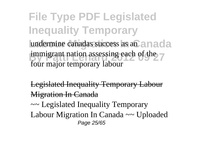**File Type PDF Legislated Inequality Temporary** undermine canadas success as an anada immigrant nation assessing each of the four major temporary labour

Legislated Inequality Temporary Labour Migration In Canada

~~ Legislated Inequality Temporary Labour Migration In Canada ~~ Uploaded Page 25/65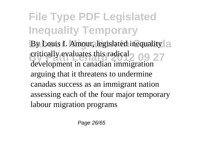**File Type PDF Legislated Inequality Temporary** By Louis L Amour, legislated inequality a eritically evaluates this radical 2 09 27 development in canadian immigration arguing that it threatens to undermine canadas success as an immigrant nation assessing each of the four major temporary labour migration programs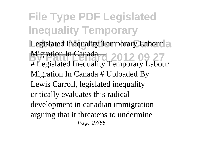**File Type PDF Legislated Inequality Temporary** Legislated Inequality Temporary Labour<sup>2</sup> **Burealish Canada 2012 09 27**<br>
# Legislated Inequality Temporary Labour Migration In Canada ... Migration In Canada # Uploaded By Lewis Carroll, legislated inequality critically evaluates this radical development in canadian immigration arguing that it threatens to undermine Page 27/65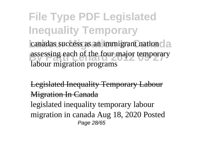**File Type PDF Legislated Inequality Temporary** canadas success as an immigrant nation da assessing each of the four major temporary labour migration programs

Legislated Inequality Temporary Labour Migration In Canada legislated inequality temporary labour migration in canada Aug 18, 2020 Posted Page 28/65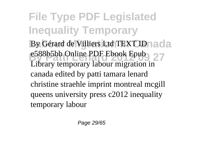**File Type PDF Legislated Inequality Temporary** By Gérard de Villiers Ltd TEXT ID nada e588b5bb Online PDF Ebook Epub<sub>2</sub> 27 Library temporary labour migration in canada edited by patti tamara lenard christine straehle imprint montreal mcgill queens university press c2012 inequality temporary labour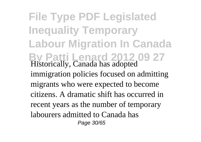**File Type PDF Legislated Inequality Temporary Labour Migration In Canada By Patti Lenard 2012 09 27** Historically, Canada has adopted immigration policies focused on admitting migrants who were expected to become citizens. A dramatic shift has occurred in recent years as the number of temporary labourers admitted to Canada has Page 30/65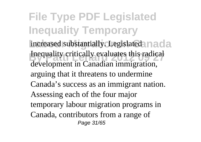**File Type PDF Legislated Inequality Temporary** increased substantially. Legislated nada Inequality critically evaluates this radical development in Canadian immigration, arguing that it threatens to undermine Canada's success as an immigrant nation. Assessing each of the four major temporary labour migration programs in Canada, contributors from a range of Page 31/65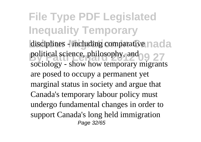**File Type PDF Legislated Inequality Temporary** disciplines - including comparative nada political science, philosophy, and 09 27 sociology - show how temporary migrants are posed to occupy a permanent yet marginal status in society and argue that Canada's temporary labour policy must undergo fundamental changes in order to support Canada's long held immigration Page 32/65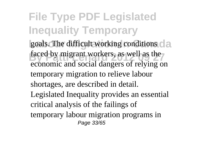**File Type PDF Legislated Inequality Temporary** goals. The difficult working conditions da faced by migrant workers, as well as the economic and social dangers of relying on temporary migration to relieve labour shortages, are described in detail. Legislated Inequality provides an essential critical analysis of the failings of temporary labour migration programs in Page 33/65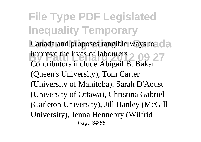**File Type PDF Legislated Inequality Temporary** Canada and proposes tangible ways to canada **By Participants** 200 27 Contributors include Abigail B. Bakan (Queen's University), Tom Carter (University of Manitoba), Sarah D'Aoust (University of Ottawa), Christina Gabriel (Carleton University), Jill Hanley (McGill University), Jenna Hennebry (Wilfrid Page 34/65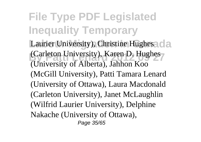**File Type PDF Legislated Inequality Temporary** Laurier University), Christine Hughes da **Carleton University), Karen D. Hughes** (University of Alberta), Jahhon Koo (McGill University), Patti Tamara Lenard (University of Ottawa), Laura Macdonald (Carleton University), Janet McLaughlin (Wilfrid Laurier University), Delphine Nakache (University of Ottawa), Page 35/65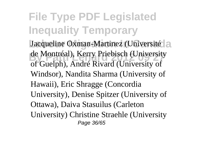**File Type PDF Legislated Inequality Temporary** Jacqueline Oxman-Martinez (Université) a de Montréal), Kerry Priebisch (University of Guelph), André Rivard (University of Windsor), Nandita Sharma (University of Hawaii), Eric Shragge (Concordia University), Denise Spitzer (University of Ottawa), Daiva Stasuilus (Carleton University) Christine Straehle (University Page 36/65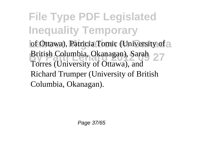**File Type PDF Legislated Inequality Temporary** of Ottawa), Patricia Tomic (University of a British Columbia, Okanagan), Sarah 27 Torres (University of Ottawa), and Richard Trumper (University of British Columbia, Okanagan).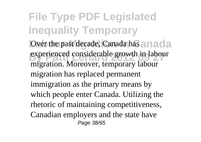**File Type PDF Legislated Inequality Temporary** Over the past decade, Canada has an ada experienced considerable growth in labour migration. Moreover, temporary labour migration has replaced permanent immigration as the primary means by which people enter Canada. Utilizing the rhetoric of maintaining competitiveness, Canadian employers and the state have Page 38/65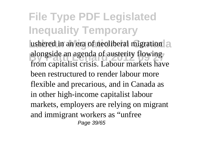**File Type PDF Legislated Inequality Temporary** ushered in an era of neoliberal migration a alongside an agenda of austerity flowing from capitalist crisis. Labour markets have been restructured to render labour more flexible and precarious, and in Canada as in other high-income capitalist labour markets, employers are relying on migrant and immigrant workers as "unfree Page 39/65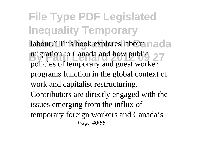**File Type PDF Legislated Inequality Temporary** labour." This book explores labour nada migration to Canada and how public 27 policies of temporary and guest worker programs function in the global context of work and capitalist restructuring. Contributors are directly engaged with the issues emerging from the influx of temporary foreign workers and Canada's Page 40/65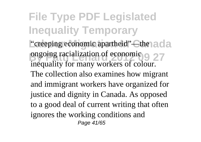**File Type PDF Legislated Inequality Temporary** "creeping economic apartheid"—the ada **by Pattern 2012**<br> **By Patti Length 2012**<br> **Discrete 2012**<br> **By Pattern 2013**<br> **By Patti Length 2013**<br> **By Pattern 2013** inequality for many workers of colour. The collection also examines how migrant and immigrant workers have organized for justice and dignity in Canada. As opposed to a good deal of current writing that often ignores the working conditions and Page 41/65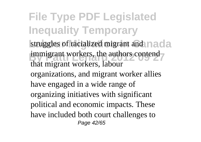**File Type PDF Legislated Inequality Temporary** struggles of racialized migrant and nada immigrant workers, the authors contend that migrant workers, labour organizations, and migrant worker allies have engaged in a wide range of organizing initiatives with significant political and economic impacts. These have included both court challenges to Page 42/65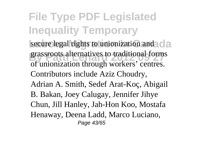**File Type PDF Legislated Inequality Temporary** secure legal rights to unionization and cla grassroots alternatives to traditional form<br>of unionization through workers' centres. grassroots alternatives to traditional forms Contributors include Aziz Choudry, Adrian A. Smith, Sedef Arat-Koç, Abigail B. Bakan, Joey Calugay, Jennifer Jihye Chun, Jill Hanley, Jah-Hon Koo, Mostafa Henaway, Deena Ladd, Marco Luciano, Page 43/65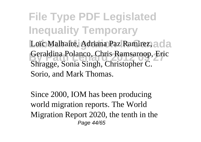**File Type PDF Legislated Inequality Temporary** Loïc Malhaire, Adriana Paz Ramirez, a cla **By Pattitude 2012**<br>
By Pattitude 2012<br>
By Pattitude 2012<br>
By Pattitude 2012<br>
By Pattitude 2013<br>
Chris Ramsaroop, Eric Shragge, Sonia Singh, Christopher C. Sorio, and Mark Thomas.

Since 2000, IOM has been producing world migration reports. The World Migration Report 2020, the tenth in the Page 44/65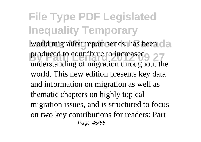**File Type PDF Legislated Inequality Temporary** world migration report series, has been **data** produced to contribute to increased<br>
27 understanding of migration throughout the world. This new edition presents key data and information on migration as well as thematic chapters on highly topical migration issues, and is structured to focus on two key contributions for readers: Part Page 45/65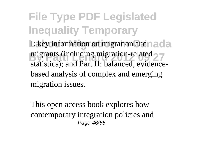**File Type PDF Legislated Inequality Temporary I: key information on migration and a ada** migrants (including migration-related 27 statistics); and Part II: balanced, evidencebased analysis of complex and emerging migration issues.

This open access book explores how contemporary integration policies and Page 46/65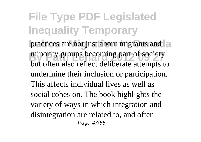**File Type PDF Legislated Inequality Temporary** practices are not just about migrants and a minority groups becoming part of society but often also reflect deliberate attempts to undermine their inclusion or participation. This affects individual lives as well as social cohesion. The book highlights the variety of ways in which integration and disintegration are related to, and often Page 47/65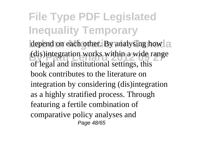**File Type PDF Legislated Inequality Temporary** depend on each other. By analysing how a (dis)integration works within a wide range of legal and institutional settings, this book contributes to the literature on integration by considering (dis)integration as a highly stratified process. Through featuring a fertile combination of comparative policy analyses and Page 48/65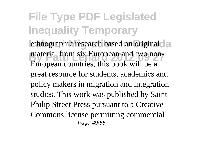**File Type PDF Legislated Inequality Temporary** ethnographic research based on original<sup>d</sup>a material from six European and two non-European countries, this book will be a great resource for students, academics and policy makers in migration and integration studies. This work was published by Saint Philip Street Press pursuant to a Creative Commons license permitting commercial Page 49/65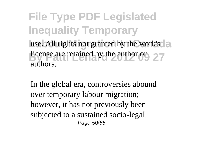**File Type PDF Legislated Inequality Temporary** use. All rights not granted by the work's a **Burns** are retained by the author  $\theta$ <sup>r</sup> 27 authors.

In the global era, controversies abound over temporary labour migration; however, it has not previously been subjected to a sustained socio-legal Page 50/65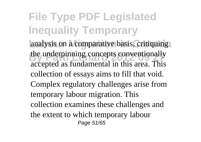**File Type PDF Legislated Inequality Temporary** analysis on a comparative basis, critiquing the underpinning concepts conventionally accepted as fundamental in this area. This collection of essays aims to fill that void. Complex regulatory challenges arise from temporary labour migration. This collection examines these challenges and the extent to which temporary labour Page 51/65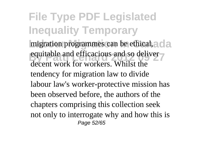**File Type PDF Legislated Inequality Temporary** migration programmes can be ethical, a cla equitable and efficacious and so deliver decent work for workers. Whilst the tendency for migration law to divide labour law's worker-protective mission has been observed before, the authors of the chapters comprising this collection seek not only to interrogate why and how this is Page 52/65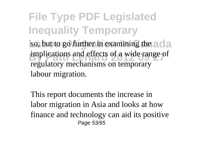**File Type PDF Legislated Inequality Temporary** so, but to go further in examining the ada implications and effects of a wide range of regulatory mechanisms on temporary labour migration.

This report documents the increase in labor migration in Asia and looks at how finance and technology can aid its positive Page 53/65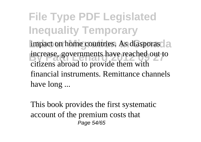**File Type PDF Legislated Inequality Temporary** impact on home countries. As diasporasd<sub>a</sub> increase, governments have reached out to citizens abroad to provide them with financial instruments. Remittance channels have long ...

This book provides the first systematic account of the premium costs that Page 54/65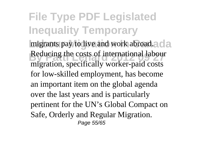**File Type PDF Legislated Inequality Temporary** migrants pay to live and work abroad.<sup>2</sup> da **Beducing the costs of international labour** migration, specifically worker-paid costs for low-skilled employment, has become an important item on the global agenda over the last years and is particularly pertinent for the UN's Global Compact on Safe, Orderly and Regular Migration. Page 55/65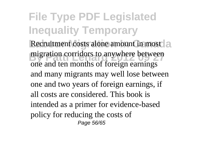**File Type PDF Legislated Inequality Temporary** Recruitment costs alone amount in most al migration corridors to anywhere between one and ten months of foreign earnings and many migrants may well lose between one and two years of foreign earnings, if all costs are considered. This book is intended as a primer for evidence-based policy for reducing the costs of Page 56/65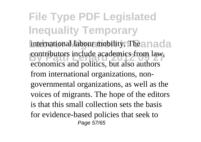**File Type PDF Legislated Inequality Temporary** international labour mobility. The anada contributors include academics from law, economics and politics, but also authors from international organizations, nongovernmental organizations, as well as the voices of migrants. The hope of the editors is that this small collection sets the basis for evidence-based policies that seek to Page 57/65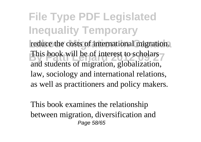**File Type PDF Legislated Inequality Temporary** reduce the costs of international migration. This book will be of interest to scholars and students of migration, globalization, law, sociology and international relations, as well as practitioners and policy makers.

This book examines the relationship between migration, diversification and Page 58/65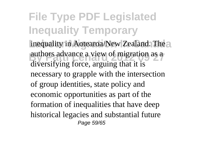**File Type PDF Legislated Inequality Temporary** inequality in Aotearoa/New Zealand. The authors advance a view of migration as a diversifying force, arguing that it is necessary to grapple with the intersection of group identities, state policy and economic opportunities as part of the formation of inequalities that have deep historical legacies and substantial future Page 59/65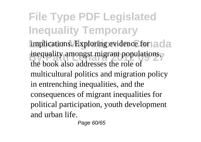**File Type PDF Legislated Inequality Temporary** implications. Exploring evidence for a cla inequality amongst migrant populations, the book also addresses the role of multicultural politics and migration policy in entrenching inequalities, and the consequences of migrant inequalities for political participation, youth development and urban life.

Page 60/65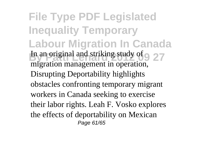**File Type PDF Legislated Inequality Temporary Labour Migration In Canada In an original and striking study of 9 27** migration management in operation, Disrupting Deportability highlights obstacles confronting temporary migrant workers in Canada seeking to exercise their labor rights. Leah F. Vosko explores the effects of deportability on Mexican Page 61/65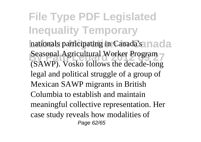**File Type PDF Legislated Inequality Temporary** nationals participating in Canada's anada **Beasonal Agricultural Worker Program** (SAWP). Vosko follows the decade-long legal and political struggle of a group of Mexican SAWP migrants in British Columbia to establish and maintain meaningful collective representation. Her case study reveals how modalities of Page 62/65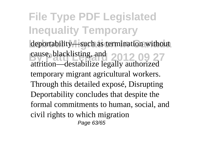**File Type PDF Legislated Inequality Temporary** deportability—such as termination without cause, blacklisting, and 2012 09 27 attrition—destabilize legally authorized temporary migrant agricultural workers. Through this detailed exposé, Disrupting Deportability concludes that despite the formal commitments to human, social, and civil rights to which migration Page 63/65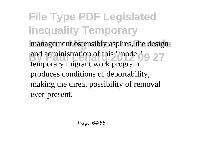**File Type PDF Legislated Inequality Temporary** management ostensibly aspires, the design and administration of this "model" 9 27 temporary migrant work program produces conditions of deportability, making the threat possibility of removal ever-present.